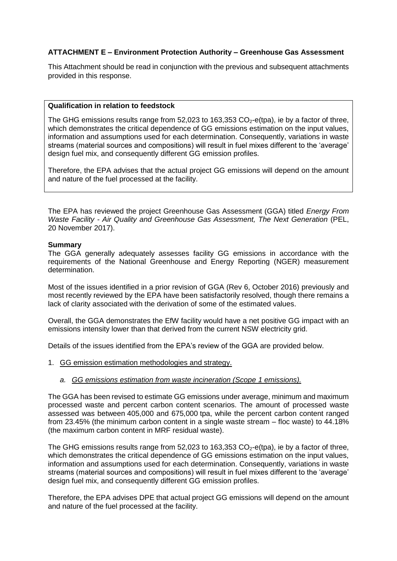## **ATTACHMENT E – Environment Protection Authority – Greenhouse Gas Assessment**

This Attachment should be read in conjunction with the previous and subsequent attachments provided in this response.

### **Qualification in relation to feedstock**

The GHG emissions results range from 52,023 to 163,353  $CO<sub>2</sub>$ -e(tpa), ie by a factor of three, which demonstrates the critical dependence of GG emissions estimation on the input values, information and assumptions used for each determination. Consequently, variations in waste streams (material sources and compositions) will result in fuel mixes different to the 'average' design fuel mix, and consequently different GG emission profiles.

Therefore, the EPA advises that the actual project GG emissions will depend on the amount and nature of the fuel processed at the facility.

The EPA has reviewed the project Greenhouse Gas Assessment (GGA) titled *Energy From Waste Facility - Air Quality and Greenhouse Gas Assessment, The Next Generation* (PEL, 20 November 2017).

### **Summary**

The GGA generally adequately assesses facility GG emissions in accordance with the requirements of the National Greenhouse and Energy Reporting (NGER) measurement determination.

Most of the issues identified in a prior revision of GGA (Rev 6, October 2016) previously and most recently reviewed by the EPA have been satisfactorily resolved, though there remains a lack of clarity associated with the derivation of some of the estimated values.

Overall, the GGA demonstrates the EfW facility would have a net positive GG impact with an emissions intensity lower than that derived from the current NSW electricity grid.

Details of the issues identified from the EPA's review of the GGA are provided below.

- 1. GG emission estimation methodologies and strategy.
	- *a. GG emissions estimation from waste incineration (Scope 1 emissions).*

The GGA has been revised to estimate GG emissions under average, minimum and maximum processed waste and percent carbon content scenarios. The amount of processed waste assessed was between 405,000 and 675,000 tpa, while the percent carbon content ranged from 23.45% (the minimum carbon content in a single waste stream – floc waste) to 44.18% (the maximum carbon content in MRF residual waste).

The GHG emissions results range from 52,023 to 163,353  $CO<sub>2</sub>$ -e(tpa), ie by a factor of three, which demonstrates the critical dependence of GG emissions estimation on the input values, information and assumptions used for each determination. Consequently, variations in waste streams (material sources and compositions) will result in fuel mixes different to the 'average' design fuel mix, and consequently different GG emission profiles.

Therefore, the EPA advises DPE that actual project GG emissions will depend on the amount and nature of the fuel processed at the facility.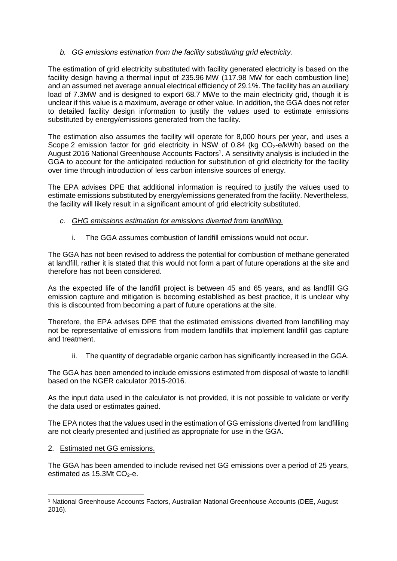# *b. GG emissions estimation from the facility substituting grid electricity.*

The estimation of grid electricity substituted with facility generated electricity is based on the facility design having a thermal input of 235.96 MW (117.98 MW for each combustion line) and an assumed net average annual electrical efficiency of 29.1%. The facility has an auxiliary load of 7.3MW and is designed to export 68.7 MWe to the main electricity grid, though it is unclear if this value is a maximum, average or other value. In addition, the GGA does not refer to detailed facility design information to justify the values used to estimate emissions substituted by energy/emissions generated from the facility.

The estimation also assumes the facility will operate for 8,000 hours per year, and uses a Scope 2 emission factor for grid electricity in NSW of 0.84 (kg  $CO<sub>2</sub>$ -e/kWh) based on the August 2016 National Greenhouse Accounts Factors<sup>1</sup>. A sensitivity analysis is included in the GGA to account for the anticipated reduction for substitution of grid electricity for the facility over time through introduction of less carbon intensive sources of energy.

The EPA advises DPE that additional information is required to justify the values used to estimate emissions substituted by energy/emissions generated from the facility. Nevertheless, the facility will likely result in a significant amount of grid electricity substituted.

- *c. GHG emissions estimation for emissions diverted from landfilling.*
	- i. The GGA assumes combustion of landfill emissions would not occur.

The GGA has not been revised to address the potential for combustion of methane generated at landfill, rather it is stated that this would not form a part of future operations at the site and therefore has not been considered.

As the expected life of the landfill project is between 45 and 65 years, and as landfill GG emission capture and mitigation is becoming established as best practice, it is unclear why this is discounted from becoming a part of future operations at the site.

Therefore, the EPA advises DPE that the estimated emissions diverted from landfilling may not be representative of emissions from modern landfills that implement landfill gas capture and treatment.

ii. The quantity of degradable organic carbon has significantly increased in the GGA.

The GGA has been amended to include emissions estimated from disposal of waste to landfill based on the NGER calculator 2015-2016.

As the input data used in the calculator is not provided, it is not possible to validate or verify the data used or estimates gained.

The EPA notes that the values used in the estimation of GG emissions diverted from landfilling are not clearly presented and justified as appropriate for use in the GGA.

2. Estimated net GG emissions.

The GGA has been amended to include revised net GG emissions over a period of 25 years, estimated as  $15.3Mt$  CO<sub>2</sub>-e.

<sup>1</sup> <sup>1</sup> National Greenhouse Accounts Factors, Australian National Greenhouse Accounts (DEE, August 2016).